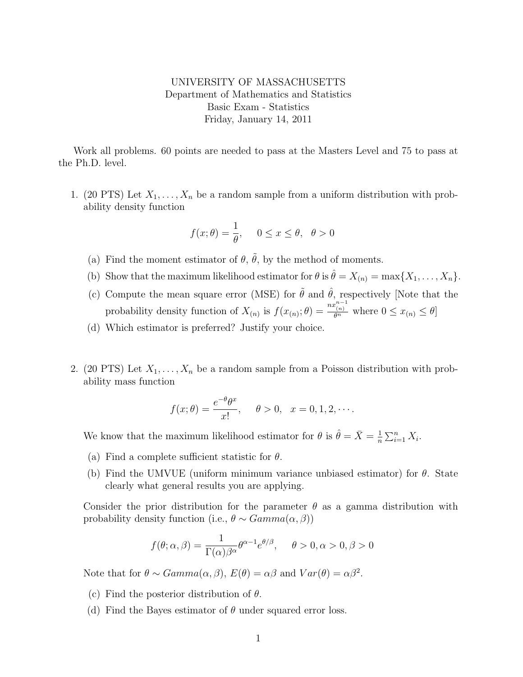## UNIVERSITY OF MASSACHUSETTS Department of Mathematics and Statistics Basic Exam - Statistics Friday, January 14, 2011

Work all problems. 60 points are needed to pass at the Masters Level and 75 to pass at the Ph.D. level.

1. (20 PTS) Let  $X_1, \ldots, X_n$  be a random sample from a uniform distribution with probability density function

$$
f(x; \theta) = \frac{1}{\theta}, \quad 0 \le x \le \theta, \ \theta > 0
$$

- (a) Find the moment estimator of  $\theta$ ,  $\tilde{\theta}$ , by the method of moments.
- (b) Show that the maximum likelihood estimator for  $\theta$  is  $\hat{\theta} = X_{(n)} = \max\{X_1, \ldots, X_n\}.$
- (c) Compute the mean square error (MSE) for  $\tilde{\theta}$  and  $\hat{\theta}$ , respectively [Note that the probability density function of  $X_{(n)}$  is  $f(x_{(n)}; \theta) = \frac{nx_{(n)}^{n-1}}{\theta^n}$  where  $0 \le x_{(n)} \le \theta$
- (d) Which estimator is preferred? Justify your choice.
- 2. (20 PTS) Let  $X_1, \ldots, X_n$  be a random sample from a Poisson distribution with probability mass function

$$
f(x; \theta) = \frac{e^{-\theta} \theta^x}{x!}, \quad \theta > 0, \quad x = 0, 1, 2, \cdots.
$$

We know that the maximum likelihood estimator for  $\theta$  is  $\hat{\theta} = \bar{X} = \frac{1}{n}$  $\frac{1}{n} \sum_{i=1}^n X_i$ .

- (a) Find a complete sufficient statistic for  $\theta$ .
- (b) Find the UMVUE (uniform minimum variance unbiased estimator) for  $\theta$ . State clearly what general results you are applying.

Consider the prior distribution for the parameter  $\theta$  as a gamma distribution with probability density function (i.e.,  $\theta \sim Gamma(\alpha, \beta)$ )

$$
f(\theta; \alpha, \beta) = \frac{1}{\Gamma(\alpha)\beta^{\alpha}} \theta^{\alpha - 1} e^{\theta/\beta}, \quad \theta > 0, \alpha > 0, \beta > 0
$$

Note that for  $\theta \sim Gamma(\alpha, \beta)$ ,  $E(\theta) = \alpha \beta$  and  $Var(\theta) = \alpha \beta^2$ .

- (c) Find the posterior distribution of  $\theta$ .
- (d) Find the Bayes estimator of  $\theta$  under squared error loss.